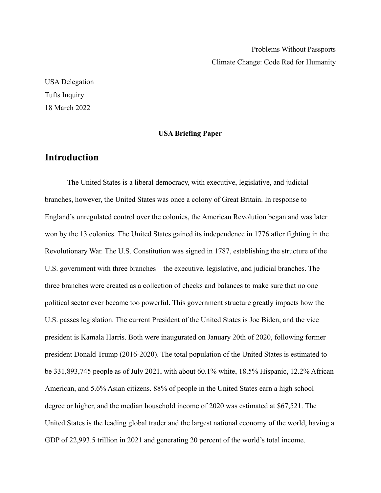Problems Without Passports Climate Change: Code Red for Humanity

USA Delegation Tufts Inquiry 18 March 2022

#### **USA Briefing Paper**

# **Introduction**

The United States is a liberal democracy, with executive, legislative, and judicial branches, however, the United States was once a colony of Great Britain. In response to England's unregulated control over the colonies, the American Revolution began and was later won by the 13 colonies. The United States gained its independence in 1776 after fighting in the Revolutionary War. The U.S. Constitution was signed in 1787, establishing the structure of the U.S. government with three branches – the executive, legislative, and judicial branches. The three branches were created as a collection of checks and balances to make sure that no one political sector ever became too powerful. This government structure greatly impacts how the U.S. passes legislation. The current President of the United States is Joe Biden, and the vice president is Kamala Harris. Both were inaugurated on January 20th of 2020, following former president Donald Trump (2016-2020). The total population of the United States is estimated to be 331,893,745 people as of July 2021, with about 60.1% white, 18.5% Hispanic, 12.2% African American, and 5.6% Asian citizens. 88% of people in the United States earn a high school degree or higher, and the median household income of 2020 was estimated at \$67,521. The United States is the leading global trader and the largest national economy of the world, having a GDP of 22,993.5 trillion in 2021 and generating 20 percent of the world's total income.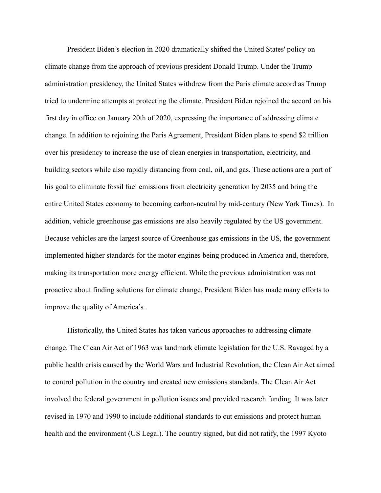President Biden's election in 2020 dramatically shifted the United States' policy on climate change from the approach of previous president Donald Trump. Under the Trump administration presidency, the United States withdrew from the Paris climate accord as Trump tried to undermine attempts at protecting the climate. President Biden rejoined the accord on his first day in office on January 20th of 2020, expressing the importance of addressing climate change. In addition to rejoining the Paris Agreement, President Biden plans to spend \$2 trillion over his presidency to increase the use of clean energies in transportation, electricity, and building sectors while also rapidly distancing from coal, oil, and gas. These actions are a part of his goal to eliminate fossil fuel emissions from electricity generation by 2035 and bring the entire United States economy to becoming carbon-neutral by mid-century (New York Times). In addition, vehicle greenhouse gas emissions are also heavily regulated by the US government. Because vehicles are the largest source of Greenhouse gas emissions in the US, the government implemented higher standards for the motor engines being produced in America and, therefore, making its transportation more energy efficient. While the previous administration was not proactive about finding solutions for climate change, President Biden has made many efforts to improve the quality of America's .

Historically, the United States has taken various approaches to addressing climate change. The Clean Air Act of 1963 was landmark climate legislation for the U.S. Ravaged by a public health crisis caused by the World Wars and Industrial Revolution, the Clean Air Act aimed to control pollution in the country and created new emissions standards. The Clean Air Act involved the federal government in pollution issues and provided research funding. It was later revised in 1970 and 1990 to include additional standards to cut emissions and protect human health and the environment (US Legal). The country signed, but did not ratify, the 1997 Kyoto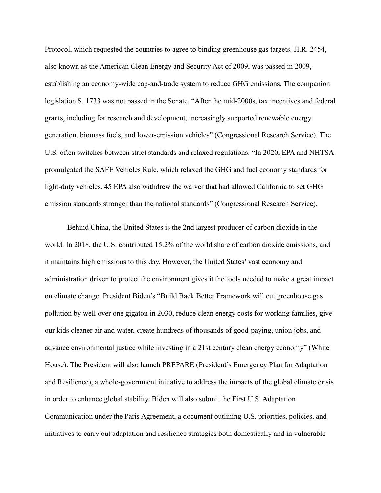Protocol, which requested the countries to agree to binding greenhouse gas targets. H.R. 2454, also known as the American Clean Energy and Security Act of 2009, was passed in 2009, establishing an economy-wide cap-and-trade system to reduce GHG emissions. The companion legislation S. 1733 was not passed in the Senate. "After the mid-2000s, tax incentives and federal grants, including for research and development, increasingly supported renewable energy generation, biomass fuels, and lower-emission vehicles" (Congressional Research Service). The U.S. often switches between strict standards and relaxed regulations. "In 2020, EPA and NHTSA promulgated the SAFE Vehicles Rule, which relaxed the GHG and fuel economy standards for light-duty vehicles. 45 EPA also withdrew the waiver that had allowed California to set GHG emission standards stronger than the national standards" (Congressional Research Service).

Behind China, the United States is the 2nd largest producer of carbon dioxide in the world. In 2018, the U.S. contributed 15.2% of the world share of carbon dioxide emissions, and it maintains high emissions to this day. However, the United States' vast economy and administration driven to protect the environment gives it the tools needed to make a great impact on climate change. President Biden's "Build Back Better Framework will cut greenhouse gas pollution by well over one gigaton in 2030, reduce clean energy costs for working families, give our kids cleaner air and water, create hundreds of thousands of good-paying, union jobs, and advance environmental justice while investing in a 21st century clean energy economy" (White House). The President will also launch PREPARE (President's Emergency Plan for Adaptation and Resilience), a whole-government initiative to address the impacts of the global climate crisis in order to enhance global stability. Biden will also submit the First U.S. Adaptation Communication under the Paris Agreement, a document outlining U.S. priorities, policies, and initiatives to carry out adaptation and resilience strategies both domestically and in vulnerable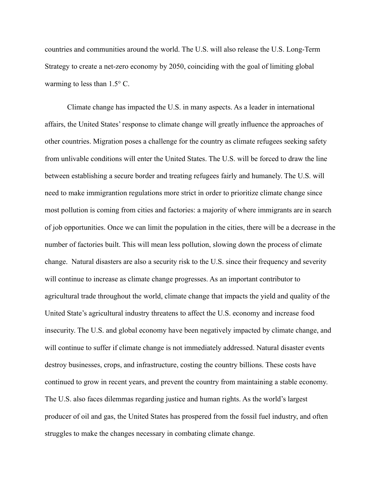countries and communities around the world. The U.S. will also release the U.S. Long-Term Strategy to create a net-zero economy by 2050, coinciding with the goal of limiting global warming to less than 1.5° C.

Climate change has impacted the U.S. in many aspects. As a leader in international affairs, the United States' response to climate change will greatly influence the approaches of other countries. Migration poses a challenge for the country as climate refugees seeking safety from unlivable conditions will enter the United States. The U.S. will be forced to draw the line between establishing a secure border and treating refugees fairly and humanely. The U.S. will need to make immigrantion regulations more strict in order to prioritize climate change since most pollution is coming from cities and factories: a majority of where immigrants are in search of job opportunities. Once we can limit the population in the cities, there will be a decrease in the number of factories built. This will mean less pollution, slowing down the process of climate change. Natural disasters are also a security risk to the U.S. since their frequency and severity will continue to increase as climate change progresses. As an important contributor to agricultural trade throughout the world, climate change that impacts the yield and quality of the United State's agricultural industry threatens to affect the U.S. economy and increase food insecurity. The U.S. and global economy have been negatively impacted by climate change, and will continue to suffer if climate change is not immediately addressed. Natural disaster events destroy businesses, crops, and infrastructure, costing the country billions. These costs have continued to grow in recent years, and prevent the country from maintaining a stable economy. The U.S. also faces dilemmas regarding justice and human rights. As the world's largest producer of oil and gas, the United States has prospered from the fossil fuel industry, and often struggles to make the changes necessary in combating climate change.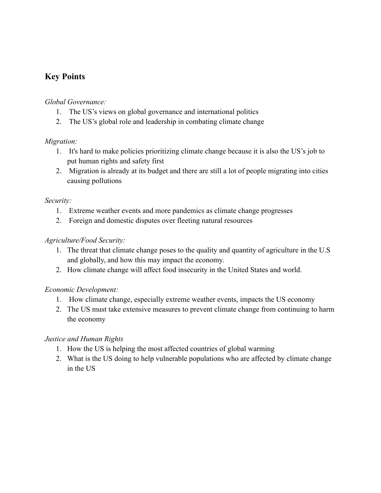# **Key Points**

### *Global Governance:*

- 1. The US's views on global governance and international politics
- 2. The US's global role and leadership in combating climate change

### *Migration:*

- 1. It's hard to make policies prioritizing climate change because it is also the US's job to put human rights and safety first
- 2. Migration is already at its budget and there are still a lot of people migrating into cities causing pollutions

### *Security:*

- 1. Extreme weather events and more pandemics as climate change progresses
- 2. Foreign and domestic disputes over fleeting natural resources

## *Agriculture/Food Security:*

- 1. The threat that climate change poses to the quality and quantity of agriculture in the U.S and globally, and how this may impact the economy.
- 2. How climate change will affect food insecurity in the United States and world.

# *Economic Development:*

- 1. How climate change, especially extreme weather events, impacts the US economy
- 2. The US must take extensive measures to prevent climate change from continuing to harm the economy

### *Justice and Human Rights*

- 1. How the US is helping the most affected countries of global warming
- 2. What is the US doing to help vulnerable populations who are affected by climate change in the US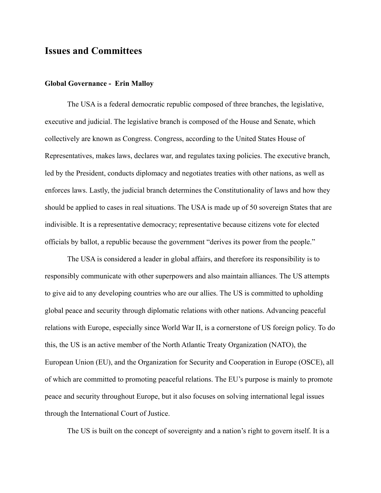# **Issues and Committees**

#### **Global Governance - Erin Malloy**

The USA is a federal democratic republic composed of three branches, the legislative, executive and judicial. The legislative branch is composed of the House and Senate, which collectively are known as Congress. Congress, according to the United States House of Representatives, makes laws, declares war, and regulates taxing policies. The executive branch, led by the President, conducts diplomacy and negotiates treaties with other nations, as well as enforces laws. Lastly, the judicial branch determines the Constitutionality of laws and how they should be applied to cases in real situations. The USA is made up of 50 sovereign States that are indivisible. It is a representative democracy; representative because citizens vote for elected officials by ballot, a republic because the government "derives its power from the people."

The USA is considered a leader in global affairs, and therefore its responsibility is to responsibly communicate with other superpowers and also maintain alliances. The US attempts to give aid to any developing countries who are our allies. The US is committed to upholding global peace and security through diplomatic relations with other nations. Advancing peaceful relations with Europe, especially since World War II, is a cornerstone of US foreign policy. To do this, the US is an active member of the North Atlantic Treaty Organization (NATO), the European Union (EU), and the Organization for Security and Cooperation in Europe (OSCE), all of which are committed to promoting peaceful relations. The EU's purpose is mainly to promote peace and security throughout Europe, but it also focuses on solving international legal issues through the International Court of Justice.

The US is built on the concept of sovereignty and a nation's right to govern itself. It is a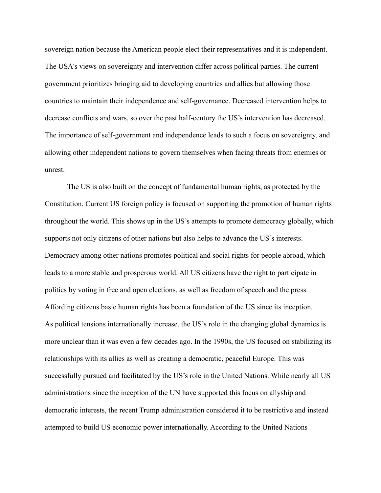sovereign nation because the American people elect their representatives and it is independent. The USA's views on sovereignty and intervention differ across political parties. The current government prioritizes bringing aid to developing countries and allies but allowing those countries to maintain their independence and self-governance. Decreased intervention helps to decrease conflicts and wars, so over the past half-century the US's intervention has decreased. The importance of self-government and independence leads to such a focus on sovereignty, and allowing other independent nations to govern themselves when facing threats from enemies or unrest.

The US is also built on the concept of fundamental human rights, as protected by the Constitution. Current US foreign policy is focused on supporting the promotion of human rights throughout the world. This shows up in the US's attempts to promote democracy globally, which supports not only citizens of other nations but also helps to advance the US's interests. Democracy among other nations promotes political and social rights for people abroad, which leads to a more stable and prosperous world. All US citizens have the right to participate in politics by voting in free and open elections, as well as freedom of speech and the press. Affording citizens basic human rights has been a foundation of the US since its inception. As political tensions internationally increase, the US's role in the changing global dynamics is more unclear than it was even a few decades ago. In the 1990s, the US focused on stabilizing its relationships with its allies as well as creating a democratic, peaceful Europe. This was successfully pursued and facilitated by the US's role in the United Nations. While nearly all US administrations since the inception of the UN have supported this focus on allyship and democratic interests, the recent Trump administration considered it to be restrictive and instead attempted to build US economic power internationally. According to the United Nations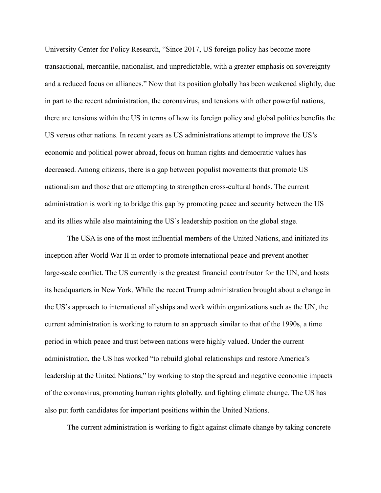University Center for Policy Research, "Since 2017, US foreign policy has become more transactional, mercantile, nationalist, and unpredictable, with a greater emphasis on sovereignty and a reduced focus on alliances." Now that its position globally has been weakened slightly, due in part to the recent administration, the coronavirus, and tensions with other powerful nations, there are tensions within the US in terms of how its foreign policy and global politics benefits the US versus other nations. In recent years as US administrations attempt to improve the US's economic and political power abroad, focus on human rights and democratic values has decreased. Among citizens, there is a gap between populist movements that promote US nationalism and those that are attempting to strengthen cross-cultural bonds. The current administration is working to bridge this gap by promoting peace and security between the US and its allies while also maintaining the US's leadership position on the global stage.

The USA is one of the most influential members of the United Nations, and initiated its inception after World War II in order to promote international peace and prevent another large-scale conflict. The US currently is the greatest financial contributor for the UN, and hosts its headquarters in New York. While the recent Trump administration brought about a change in the US's approach to international allyships and work within organizations such as the UN, the current administration is working to return to an approach similar to that of the 1990s, a time period in which peace and trust between nations were highly valued. Under the current administration, the US has worked "to rebuild global relationships and restore America's leadership at the United Nations," by working to stop the spread and negative economic impacts of the coronavirus, promoting human rights globally, and fighting climate change. The US has also put forth candidates for important positions within the United Nations.

The current administration is working to fight against climate change by taking concrete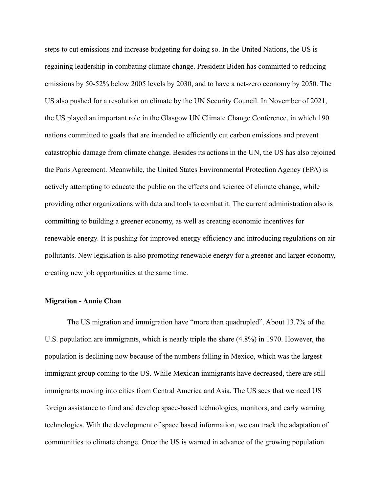steps to cut emissions and increase budgeting for doing so. In the United Nations, the US is regaining leadership in combating climate change. President Biden has committed to reducing emissions by 50-52% below 2005 levels by 2030, and to have a net-zero economy by 2050. The US also pushed for a resolution on climate by the UN Security Council. In November of 2021, the US played an important role in the Glasgow UN Climate Change Conference, in which 190 nations committed to goals that are intended to efficiently cut carbon emissions and prevent catastrophic damage from climate change. Besides its actions in the UN, the US has also rejoined the Paris Agreement. Meanwhile, the United States Environmental Protection Agency (EPA) is actively attempting to educate the public on the effects and science of climate change, while providing other organizations with data and tools to combat it. The current administration also is committing to building a greener economy, as well as creating economic incentives for renewable energy. It is pushing for improved energy efficiency and introducing regulations on air pollutants. New legislation is also promoting renewable energy for a greener and larger economy, creating new job opportunities at the same time.

#### **Migration - Annie Chan**

The US migration and immigration have "more than quadrupled". About 13.7% of the U.S. population are immigrants, which is nearly triple the share (4.8%) in 1970. However, the population is declining now because of the numbers falling in Mexico, which was the largest immigrant group coming to the US. While Mexican immigrants have decreased, there are still immigrants moving into cities from Central America and Asia. The US sees that we need US foreign assistance to fund and develop space-based technologies, monitors, and early warning technologies. With the development of space based information, we can track the adaptation of communities to climate change. Once the US is warned in advance of the growing population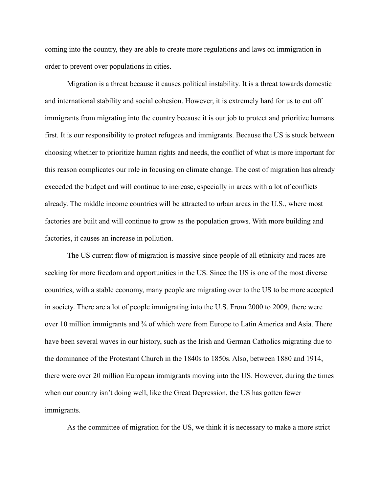coming into the country, they are able to create more regulations and laws on immigration in order to prevent over populations in cities.

Migration is a threat because it causes political instability. It is a threat towards domestic and international stability and social cohesion. However, it is extremely hard for us to cut off immigrants from migrating into the country because it is our job to protect and prioritize humans first. It is our responsibility to protect refugees and immigrants. Because the US is stuck between choosing whether to prioritize human rights and needs, the conflict of what is more important for this reason complicates our role in focusing on climate change. The cost of migration has already exceeded the budget and will continue to increase, especially in areas with a lot of conflicts already. The middle income countries will be attracted to urban areas in the U.S., where most factories are built and will continue to grow as the population grows. With more building and factories, it causes an increase in pollution.

The US current flow of migration is massive since people of all ethnicity and races are seeking for more freedom and opportunities in the US. Since the US is one of the most diverse countries, with a stable economy, many people are migrating over to the US to be more accepted in society. There are a lot of people immigrating into the U.S. From 2000 to 2009, there were over 10 million immigrants and ¾ of which were from Europe to Latin America and Asia. There have been several waves in our history, such as the Irish and German Catholics migrating due to the dominance of the Protestant Church in the 1840s to 1850s. Also, between 1880 and 1914, there were over 20 million European immigrants moving into the US. However, during the times when our country isn't doing well, like the Great Depression, the US has gotten fewer immigrants.

As the committee of migration for the US, we think it is necessary to make a more strict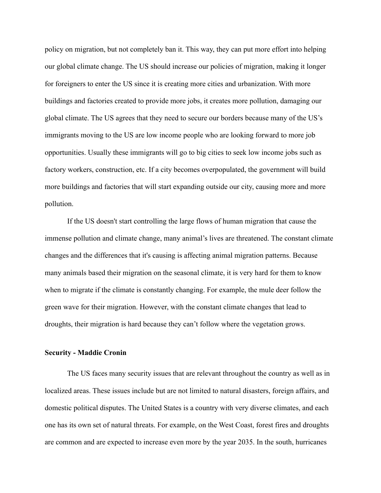policy on migration, but not completely ban it. This way, they can put more effort into helping our global climate change. The US should increase our policies of migration, making it longer for foreigners to enter the US since it is creating more cities and urbanization. With more buildings and factories created to provide more jobs, it creates more pollution, damaging our global climate. The US agrees that they need to secure our borders because many of the US's immigrants moving to the US are low income people who are looking forward to more job opportunities. Usually these immigrants will go to big cities to seek low income jobs such as factory workers, construction, etc. If a city becomes overpopulated, the government will build more buildings and factories that will start expanding outside our city, causing more and more pollution.

If the US doesn't start controlling the large flows of human migration that cause the immense pollution and climate change, many animal's lives are threatened. The constant climate changes and the differences that it's causing is affecting animal migration patterns. Because many animals based their migration on the seasonal climate, it is very hard for them to know when to migrate if the climate is constantly changing. For example, the mule deer follow the green wave for their migration. However, with the constant climate changes that lead to droughts, their migration is hard because they can't follow where the vegetation grows.

#### **Security - Maddie Cronin**

The US faces many security issues that are relevant throughout the country as well as in localized areas. These issues include but are not limited to natural disasters, foreign affairs, and domestic political disputes. The United States is a country with very diverse climates, and each one has its own set of natural threats. For example, on the West Coast, forest fires and droughts are common and are expected to increase even more by the year 2035. In the south, hurricanes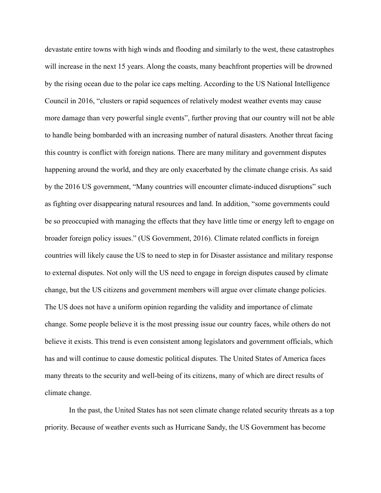devastate entire towns with high winds and flooding and similarly to the west, these catastrophes will increase in the next 15 years. Along the coasts, many beachfront properties will be drowned by the rising ocean due to the polar ice caps melting. According to the US National Intelligence Council in 2016, "clusters or rapid sequences of relatively modest weather events may cause more damage than very powerful single events", further proving that our country will not be able to handle being bombarded with an increasing number of natural disasters. Another threat facing this country is conflict with foreign nations. There are many military and government disputes happening around the world, and they are only exacerbated by the climate change crisis. As said by the 2016 US government, "Many countries will encounter climate-induced disruptions" such as fighting over disappearing natural resources and land. In addition, "some governments could be so preoccupied with managing the effects that they have little time or energy left to engage on broader foreign policy issues." (US Government, 2016). Climate related conflicts in foreign countries will likely cause the US to need to step in for Disaster assistance and military response to external disputes. Not only will the US need to engage in foreign disputes caused by climate change, but the US citizens and government members will argue over climate change policies. The US does not have a uniform opinion regarding the validity and importance of climate change. Some people believe it is the most pressing issue our country faces, while others do not believe it exists. This trend is even consistent among legislators and government officials, which has and will continue to cause domestic political disputes. The United States of America faces many threats to the security and well-being of its citizens, many of which are direct results of climate change.

In the past, the United States has not seen climate change related security threats as a top priority. Because of weather events such as Hurricane Sandy, the US Government has become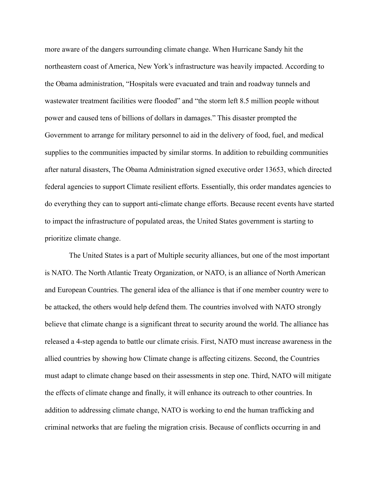more aware of the dangers surrounding climate change. When Hurricane Sandy hit the northeastern coast of America, New York's infrastructure was heavily impacted. According to the Obama administration, "Hospitals were evacuated and train and roadway tunnels and wastewater treatment facilities were flooded" and "the storm left 8.5 million people without power and caused tens of billions of dollars in damages." This disaster prompted the Government to arrange for military personnel to aid in the delivery of food, fuel, and medical supplies to the communities impacted by similar storms. In addition to rebuilding communities after natural disasters, The Obama Administration signed executive order 13653, which directed federal agencies to support Climate resilient efforts. Essentially, this order mandates agencies to do everything they can to support anti-climate change efforts. Because recent events have started to impact the infrastructure of populated areas, the United States government is starting to prioritize climate change.

The United States is a part of Multiple security alliances, but one of the most important is NATO. The North Atlantic Treaty Organization, or NATO, is an alliance of North American and European Countries. The general idea of the alliance is that if one member country were to be attacked, the others would help defend them. The countries involved with NATO strongly believe that climate change is a significant threat to security around the world. The alliance has released a 4-step agenda to battle our climate crisis. First, NATO must increase awareness in the allied countries by showing how Climate change is affecting citizens. Second, the Countries must adapt to climate change based on their assessments in step one. Third, NATO will mitigate the effects of climate change and finally, it will enhance its outreach to other countries. In addition to addressing climate change, NATO is working to end the human trafficking and criminal networks that are fueling the migration crisis. Because of conflicts occurring in and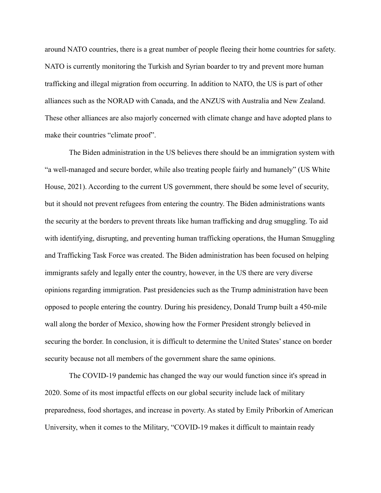around NATO countries, there is a great number of people fleeing their home countries for safety. NATO is currently monitoring the Turkish and Syrian boarder to try and prevent more human trafficking and illegal migration from occurring. In addition to NATO, the US is part of other alliances such as the NORAD with Canada, and the ANZUS with Australia and New Zealand. These other alliances are also majorly concerned with climate change and have adopted plans to make their countries "climate proof".

The Biden administration in the US believes there should be an immigration system with "a well-managed and secure border, while also treating people fairly and humanely" (US White House, 2021). According to the current US government, there should be some level of security, but it should not prevent refugees from entering the country. The Biden administrations wants the security at the borders to prevent threats like human trafficking and drug smuggling. To aid with identifying, disrupting, and preventing human trafficking operations, the Human Smuggling and Trafficking Task Force was created. The Biden administration has been focused on helping immigrants safely and legally enter the country, however, in the US there are very diverse opinions regarding immigration. Past presidencies such as the Trump administration have been opposed to people entering the country. During his presidency, Donald Trump built a 450-mile wall along the border of Mexico, showing how the Former President strongly believed in securing the border. In conclusion, it is difficult to determine the United States' stance on border security because not all members of the government share the same opinions.

The COVID-19 pandemic has changed the way our would function since it's spread in 2020. Some of its most impactful effects on our global security include lack of military preparedness, food shortages, and increase in poverty. As stated by Emily Priborkin of American University, when it comes to the Military, "COVID-19 makes it difficult to maintain ready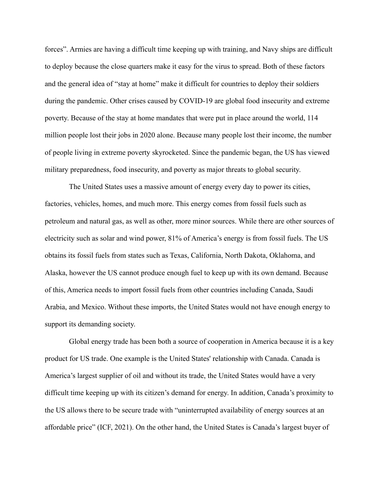forces". Armies are having a difficult time keeping up with training, and Navy ships are difficult to deploy because the close quarters make it easy for the virus to spread. Both of these factors and the general idea of "stay at home" make it difficult for countries to deploy their soldiers during the pandemic. Other crises caused by COVID-19 are global food insecurity and extreme poverty. Because of the stay at home mandates that were put in place around the world, 114 million people lost their jobs in 2020 alone. Because many people lost their income, the number of people living in extreme poverty skyrocketed. Since the pandemic began, the US has viewed military preparedness, food insecurity, and poverty as major threats to global security.

The United States uses a massive amount of energy every day to power its cities, factories, vehicles, homes, and much more. This energy comes from fossil fuels such as petroleum and natural gas, as well as other, more minor sources. While there are other sources of electricity such as solar and wind power, 81% of America's energy is from fossil fuels. The US obtains its fossil fuels from states such as Texas, California, North Dakota, Oklahoma, and Alaska, however the US cannot produce enough fuel to keep up with its own demand. Because of this, America needs to import fossil fuels from other countries including Canada, Saudi Arabia, and Mexico. Without these imports, the United States would not have enough energy to support its demanding society.

Global energy trade has been both a source of cooperation in America because it is a key product for US trade. One example is the United States' relationship with Canada. Canada is America's largest supplier of oil and without its trade, the United States would have a very difficult time keeping up with its citizen's demand for energy. In addition, Canada's proximity to the US allows there to be secure trade with "uninterrupted availability of energy sources at an affordable price" (ICF, 2021). On the other hand, the United States is Canada's largest buyer of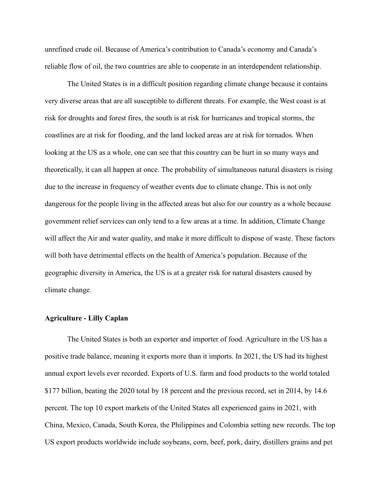unrefined crude oil. Because of America's contribution to Canada's economy and Canada's reliable flow of oil, the two countries are able to cooperate in an interdependent relationship.

The United States is in a difficult position regarding climate change because it contains very diverse areas that are all susceptible to different threats. For example, the West coast is at risk for droughts and forest fires, the south is at risk for hurricanes and tropical storms, the coastlines are at risk for flooding, and the land locked areas are at risk for tornados. When looking at the US as a whole, one can see that this country can be hurt in so many ways and theoretically, it can all happen at once. The probability of simultaneous natural disasters is rising due to the increase in frequency of weather events due to climate change. This is not only dangerous for the people living in the affected areas but also for our country as a whole because government relief services can only tend to a few areas at a time. In addition, Climate Change will affect the Air and water quality, and make it more difficult to dispose of waste. These factors will both have detrimental effects on the health of America's population. Because of the geographic diversity in America, the US is at a greater risk for natural disasters caused by climate change.

#### **Agriculture - Lilly Caplan**

The United States is both an exporter and importer of food. Agriculture in the US has a positive trade balance, meaning it exports more than it imports. In 2021, the US had its highest annual export levels ever recorded. Exports of U.S. farm and food products to the world totaled \$177 billion, beating the 2020 total by 18 percent and the previous record, set in 2014, by 14.6 percent. The top 10 export markets of the United States all experienced gains in 2021, with China, Mexico, Canada, South Korea, the Philippines and Colombia setting new records. The top US export products worldwide include soybeans, corn, beef, pork, dairy, distillers grains and pet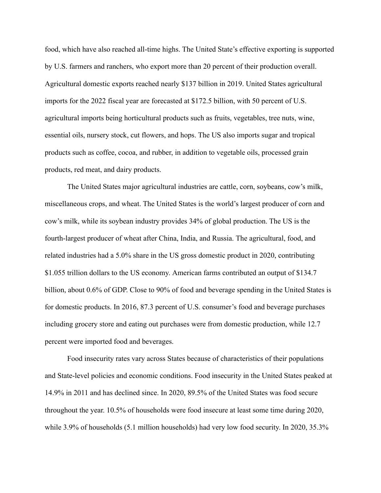food, which have also reached all-time highs. The United State's effective exporting is supported by U.S. farmers and ranchers, who export more than 20 percent of their production overall. Agricultural domestic exports reached nearly \$137 billion in 2019. United States agricultural imports for the 2022 fiscal year are forecasted at \$172.5 billion, with 50 percent of U.S. agricultural imports being horticultural products such as fruits, vegetables, tree nuts, wine, essential oils, nursery stock, cut flowers, and hops. The US also imports sugar and tropical products such as coffee, cocoa, and rubber, in addition to vegetable oils, processed grain products, red meat, and dairy products.

The United States major agricultural industries are cattle, corn, soybeans, cow's milk, miscellaneous crops, and wheat. The United States is the world's largest producer of corn and cow's milk, while its soybean industry provides 34% of global production. The US is the fourth-largest producer of wheat after China, India, and Russia. The agricultural, food, and related industries had a 5.0% share in the US gross domestic product in 2020, contributing \$1.055 trillion dollars to the US economy. American farms contributed an output of \$134.7 billion, about 0.6% of GDP. Close to 90% of food and beverage spending in the United States is for domestic products. In 2016, 87.3 percent of U.S. consumer's food and beverage purchases including grocery store and eating out purchases were from domestic production, while 12.7 percent were imported food and beverages.

Food insecurity rates vary across States because of characteristics of their populations and State-level policies and economic conditions. Food insecurity in the United States peaked at 14.9% in 2011 and has declined since. In 2020, 89.5% of the United States was food secure throughout the year. 10.5% of households were food insecure at least some time during 2020, while 3.9% of households (5.1 million households) had very low food security. In 2020, 35.3%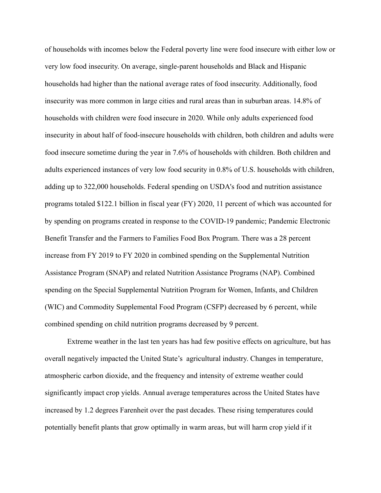of households with incomes below the Federal poverty line were food insecure with either low or very low food insecurity. On average, single-parent households and Black and Hispanic households had higher than the national average rates of food insecurity. Additionally, food insecurity was more common in large cities and rural areas than in suburban areas. 14.8% of households with children were food insecure in 2020. While only adults experienced food insecurity in about half of food-insecure households with children, both children and adults were food insecure sometime during the year in 7.6% of households with children. Both children and adults experienced instances of very low food security in 0.8% of U.S. households with children, adding up to 322,000 households. Federal spending on USDA's food and nutrition assistance programs totaled \$122.1 billion in fiscal year (FY) 2020, 11 percent of which was accounted for by spending on programs created in response to the COVID-19 pandemic; Pandemic Electronic Benefit Transfer and the Farmers to Families Food Box Program. There was a 28 percent increase from FY 2019 to FY 2020 in combined spending on the Supplemental Nutrition Assistance Program (SNAP) and related Nutrition Assistance Programs (NAP). Combined spending on the Special Supplemental Nutrition Program for Women, Infants, and Children (WIC) and Commodity Supplemental Food Program (CSFP) decreased by 6 percent, while combined spending on child nutrition programs decreased by 9 percent.

Extreme weather in the last ten years has had few positive effects on agriculture, but has overall negatively impacted the United State's agricultural industry. Changes in temperature, atmospheric carbon dioxide, and the frequency and intensity of extreme weather could significantly impact crop yields. Annual average temperatures across the United States have increased by 1.2 degrees Farenheit over the past decades. These rising temperatures could potentially benefit plants that grow optimally in warm areas, but will harm crop yield if it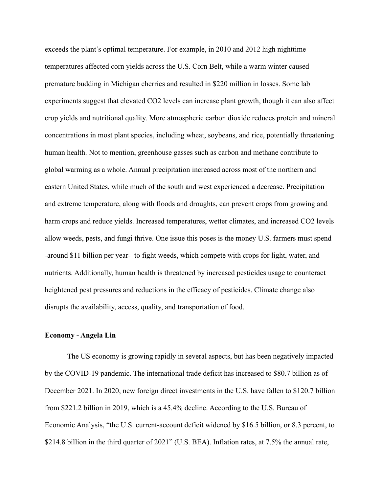exceeds the plant's optimal temperature. For example, in 2010 and 2012 high nighttime temperatures affected corn yields across the U.S. Corn Belt, while a warm winter caused premature budding in Michigan cherries and resulted in \$220 million in losses. Some lab experiments suggest that elevated CO2 levels can increase plant growth, though it can also affect crop yields and nutritional quality. More atmospheric carbon dioxide reduces protein and mineral concentrations in most plant species, including wheat, soybeans, and rice, potentially threatening human health. Not to mention, greenhouse gasses such as carbon and methane contribute to global warming as a whole. Annual precipitation increased across most of the northern and eastern United States, while much of the south and west experienced a decrease. Precipitation and extreme temperature, along with floods and droughts, can prevent crops from growing and harm crops and reduce yields. Increased temperatures, wetter climates, and increased CO2 levels allow weeds, pests, and fungi thrive. One issue this poses is the money U.S. farmers must spend -around \$11 billion per year- to fight weeds, which compete with crops for light, water, and nutrients. Additionally, human health is threatened by increased pesticides usage to counteract heightened pest pressures and reductions in the efficacy of pesticides. Climate change also disrupts the availability, access, quality, and transportation of food.

#### **Economy - Angela Lin**

The US economy is growing rapidly in several aspects, but has been negatively impacted by the COVID-19 pandemic. The international trade deficit has increased to \$80.7 billion as of December 2021. In 2020, new foreign direct investments in the U.S. have fallen to \$120.7 billion from \$221.2 billion in 2019, which is a 45.4% decline. According to the U.S. Bureau of Economic Analysis, "the U.S. current-account deficit widened by \$16.5 billion, or 8.3 percent, to \$214.8 billion in the third quarter of 2021" (U.S. BEA). Inflation rates, at 7.5% the annual rate,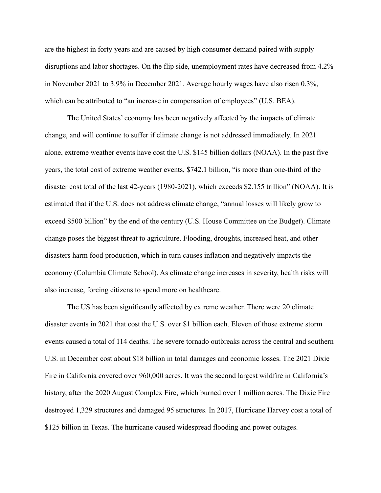are the highest in forty years and are caused by high consumer demand paired with supply disruptions and labor shortages. On the flip side, unemployment rates have decreased from 4.2% in November 2021 to 3.9% in December 2021. Average hourly wages have also risen 0.3%, which can be attributed to "an increase in compensation of employees" (U.S. BEA).

The United States' economy has been negatively affected by the impacts of climate change, and will continue to suffer if climate change is not addressed immediately. In 2021 alone, extreme weather events have cost the U.S. \$145 billion dollars (NOAA). In the past five years, the total cost of extreme weather events, \$742.1 billion, "is more than one-third of the disaster cost total of the last 42-years (1980-2021), which exceeds \$2.155 trillion" (NOAA). It is estimated that if the U.S. does not address climate change, "annual losses will likely grow to exceed \$500 billion" by the end of the century (U.S. House Committee on the Budget). Climate change poses the biggest threat to agriculture. Flooding, droughts, increased heat, and other disasters harm food production, which in turn causes inflation and negatively impacts the economy (Columbia Climate School). As climate change increases in severity, health risks will also increase, forcing citizens to spend more on healthcare.

The US has been significantly affected by extreme weather. There were 20 climate disaster events in 2021 that cost the U.S. over \$1 billion each. Eleven of those extreme storm events caused a total of 114 deaths. The severe tornado outbreaks across the central and southern U.S. in December cost about \$18 billion in total damages and economic losses. The 2021 Dixie Fire in California covered over 960,000 acres. It was the second largest wildfire in California's history, after the 2020 August Complex Fire, which burned over 1 million acres. The Dixie Fire destroyed 1,329 structures and damaged 95 structures. In 2017, Hurricane Harvey cost a total of \$125 billion in Texas. The hurricane caused widespread flooding and power outages.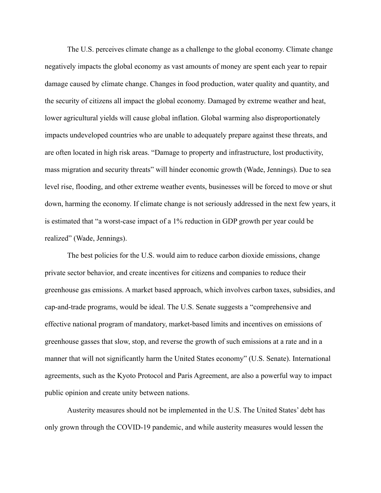The U.S. perceives climate change as a challenge to the global economy. Climate change negatively impacts the global economy as vast amounts of money are spent each year to repair damage caused by climate change. Changes in food production, water quality and quantity, and the security of citizens all impact the global economy. Damaged by extreme weather and heat, lower agricultural yields will cause global inflation. Global warming also disproportionately impacts undeveloped countries who are unable to adequately prepare against these threats, and are often located in high risk areas. "Damage to property and infrastructure, lost productivity, mass migration and security threats" will hinder economic growth (Wade, Jennings). Due to sea level rise, flooding, and other extreme weather events, businesses will be forced to move or shut down, harming the economy. If climate change is not seriously addressed in the next few years, it is estimated that "a worst-case impact of a 1% reduction in GDP growth per year could be realized" (Wade, Jennings).

The best policies for the U.S. would aim to reduce carbon dioxide emissions, change private sector behavior, and create incentives for citizens and companies to reduce their greenhouse gas emissions. A market based approach, which involves carbon taxes, subsidies, and cap-and-trade programs, would be ideal. The U.S. Senate suggests a "comprehensive and effective national program of mandatory, market-based limits and incentives on emissions of greenhouse gasses that slow, stop, and reverse the growth of such emissions at a rate and in a manner that will not significantly harm the United States economy" (U.S. Senate). International agreements, such as the Kyoto Protocol and Paris Agreement, are also a powerful way to impact public opinion and create unity between nations.

Austerity measures should not be implemented in the U.S. The United States' debt has only grown through the COVID-19 pandemic, and while austerity measures would lessen the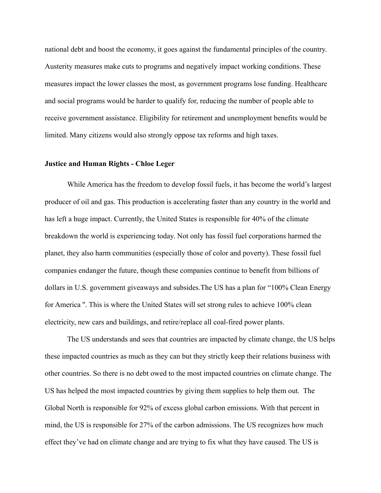national debt and boost the economy, it goes against the fundamental principles of the country. Austerity measures make cuts to programs and negatively impact working conditions. These measures impact the lower classes the most, as government programs lose funding. Healthcare and social programs would be harder to qualify for, reducing the number of people able to receive government assistance. Eligibility for retirement and unemployment benefits would be limited. Many citizens would also strongly oppose tax reforms and high taxes.

#### **Justice and Human Rights - Chloe Leger**

While America has the freedom to develop fossil fuels, it has become the world's largest producer of oil and gas. This production is accelerating faster than any country in the world and has left a huge impact. Currently, the United States is responsible for 40% of the climate breakdown the world is experiencing today. Not only has fossil fuel corporations harmed the planet, they also harm communities (especially those of color and poverty). These fossil fuel companies endanger the future, though these companies continue to benefit from billions of dollars in U.S. government giveaways and subsides.The US has a plan for "100% Clean Energy for America ''. This is where the United States will set strong rules to achieve 100% clean electricity, new cars and buildings, and retire/replace all coal-fired power plants.

The US understands and sees that countries are impacted by climate change, the US helps these impacted countries as much as they can but they strictly keep their relations business with other countries. So there is no debt owed to the most impacted countries on climate change. The US has helped the most impacted countries by giving them supplies to help them out. The Global North is responsible for 92% of excess global carbon emissions. With that percent in mind, the US is responsible for 27% of the carbon admissions. The US recognizes how much effect they've had on climate change and are trying to fix what they have caused. The US is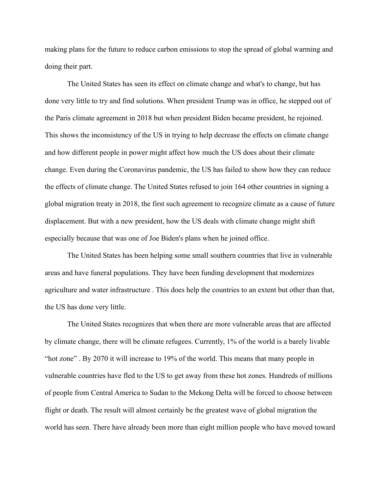making plans for the future to reduce carbon emissions to stop the spread of global warming and doing their part.

The United States has seen its effect on climate change and what's to change, but has done very little to try and find solutions. When president Trump was in office, he stepped out of the Paris climate agreement in 2018 but when president Biden became president, he rejoined. This shows the inconsistency of the US in trying to help decrease the effects on climate change and how different people in power might affect how much the US does about their climate change. Even during the Coronavirus pandemic, the US has failed to show how they can reduce the effects of climate change. The United States refused to join 164 other countries in signing a global migration treaty in 2018, the first such agreement to recognize climate as a cause of future displacement. But with a new president, how the US deals with climate change might shift especially because that was one of Joe Biden's plans when he joined office.

The United States has been helping some small southern countries that live in vulnerable areas and have funeral populations. They have been funding development that modernizes agriculture and water infrastructure . This does help the countries to an extent but other than that, the US has done very little.

The United States recognizes that when there are more vulnerable areas that are affected by climate change, there will be climate refugees. Currently, 1% of the world is a barely livable "hot zone" . By 2070 it will increase to 19% of the world. This means that many people in vulnerable countries have fled to the US to get away from these hot zones. Hundreds of millions of people from Central America to Sudan to the Mekong Delta will be forced to choose between flight or death. The result will almost certainly be the greatest wave of global migration the world has seen. There have already been more than eight million people who have moved toward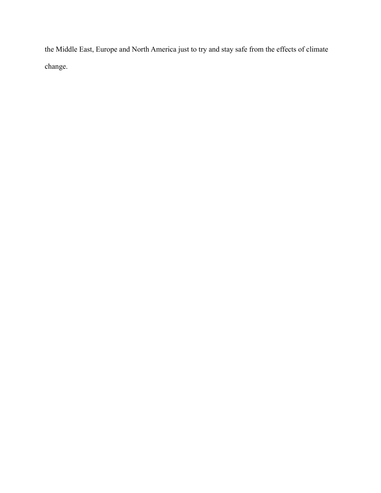the Middle East, Europe and North America just to try and stay safe from the effects of climate change.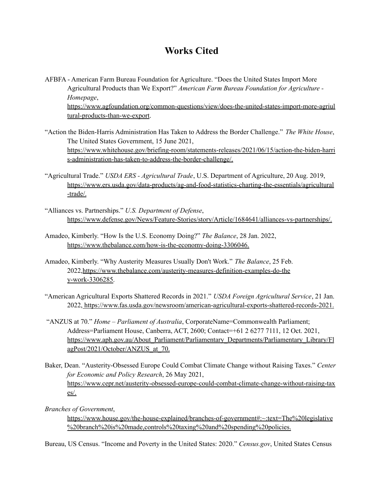# **Works Cited**

- AFBFA American Farm Bureau Foundation for Agriculture. "Does the United States Import More Agricultural Products than We Export?" *American Farm Bureau Foundation for Agriculture - Homepage*, https://www.agfoundation.org/common-questions/view/does-the-united-states-import-more-agriul tural-products-than-we-export.
- "Action the Biden-Harris Administration Has Taken to Address the Border Challenge." *The White House*, The United States Government, 15 June 2021, https://www.whitehouse.gov/briefing-room/statements-releases/2021/06/15/action-the-biden-harri s-administration-has-taken-to-address-the-border-challenge/.
- "Agricultural Trade." *USDA ERS - Agricultural Trade*, U.S. Department of Agriculture, 20 Aug. 2019, https://www.ers.usda.gov/data-products/ag-and-food-statistics-charting-the-essentials/agricultural -trade/.
- "Alliances vs. Partnerships." *U.S. Department of Defense*, https://www.defense.gov/News/Feature-Stories/story/Article/1684641/alliances-vs-partnerships/.
- Amadeo, Kimberly. "How Is the U.S. Economy Doing?" *The Balance*, 28 Jan. 2022, https://www.thebalance.com/how-is-the-economy-doing-3306046.
- Amadeo, Kimberly. "Why Austerity Measures Usually Don't Work." *The Balance*, 25 Feb. 2022,https://www.thebalance.com/austerity-measures-definition-examples-do-the y-work-3306285.
- "American Agricultural Exports Shattered Records in 2021." *USDA Foreign Agricultural Service*, 21 Jan. 2022, https://www.fas.usda.gov/newsroom/american-agricultural-exports-shattered-records-2021.
- "ANZUS at 70." *Home – Parliament of Australia*, CorporateName=Commonwealth Parliament; Address=Parliament House, Canberra, ACT, 2600; Contact=+61 2 6277 7111, 12 Oct. 2021, https://www.aph.gov.au/About\_Parliament/Parliamentary\_Departments/Parliamentary\_Library/Fl agPost/2021/October/ANZUS at 70.
- Baker, Dean. "Austerity-Obsessed Europe Could Combat Climate Change without Raising Taxes." *Center for Economic and Policy Research*, 26 May 2021, https://www.cepr.net/austerity-obsessed-europe-could-combat-climate-change-without-raising-tax es/.

#### *Branches of Government*,

https://www.house.gov/the-house-explained/branches-of-government#:~:text=The%20legislative %20branch%20is%20made,controls%20taxing%20and%20spending%20policies.

Bureau, US Census. "Income and Poverty in the United States: 2020." *Census.gov*, United States Census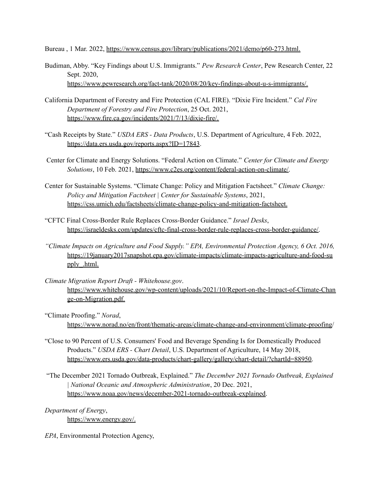Bureau , 1 Mar. 2022, https://www.census.gov/library/publications/2021/demo/p60-273.html.

- Budiman, Abby. "Key Findings about U.S. Immigrants." *Pew Research Center*, Pew Research Center, 22 Sept. 2020, https://www.pewresearch.org/fact-tank/2020/08/20/key-findings-about-u-s-immigrants/.
- California Department of Forestry and Fire Protection (CAL FIRE). "Dixie Fire Incident." *Cal Fire Department of Forestry and Fire Protection*, 25 Oct. 2021, https://www.fire.ca.gov/incidents/2021/7/13/dixie-fire/.
- "Cash Receipts by State." *USDA ERS - Data Products*, U.S. Department of Agriculture, 4 Feb. 2022, https://data.ers.usda.gov/reports.aspx?ID=17843.
- Center for Climate and Energy Solutions. "Federal Action on Climate." *Center for Climate and Energy Solutions*, 10 Feb. 2021, https://www.c2es.org/content/federal-action-on-climate/.
- Center for Sustainable Systems. "Climate Change: Policy and Mitigation Factsheet." *Climate Change: Policy and Mitigation Factsheet | Center for Sustainable Systems*, 2021, https://css.umich.edu/factsheets/climate-change-policy-and-mitigation-factsheet.
- "CFTC Final Cross-Border Rule Replaces Cross-Border Guidance." *Israel Desks*, https://israeldesks.com/updates/cftc-final-cross-border-rule-replaces-cross-border-guidance/.
- *"Climate Impacts on Agriculture and Food Supply." EPA, Environmental Protection Agency, 6 Oct. 2016,* https://19january2017snapshot.epa.gov/climate-impacts/climate-impacts-agriculture-and-food-su pply .html.
- *Climate Migration Report Draft - Whitehouse.gov*. https://www.whitehouse.gov/wp-content/uploads/2021/10/Report-on-the-Impact-of-Climate-Chan ge-on-Migration.pdf.
- "Climate Proofing." *Norad*, https://www.norad.no/en/front/thematic-areas/climate-change-and-environment/climate-proofing/
- "Close to 90 Percent of U.S. Consumers' Food and Beverage Spending Is for Domestically Produced Products." *USDA ERS - Chart Detail*, U.S. Department of Agriculture, 14 May 2018, https://www.ers.usda.gov/data-products/chart-gallery/gallery/chart-detail/?chartId=88950.
- "The December 2021 Tornado Outbreak, Explained." *The December 2021 Tornado Outbreak, Explained | National Oceanic and Atmospheric Administration*, 20 Dec. 2021, https://www.noaa.gov/news/december-2021-tornado-outbreak-explained.

#### *Department of Energy*,

https://www.energy.gov/.

*EPA*, Environmental Protection Agency,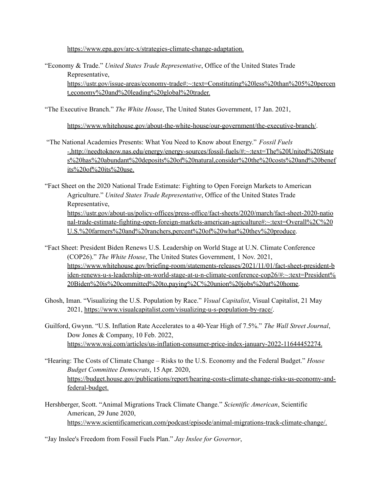https://www.epa.gov/arc-x/strategies-climate-change-adaptation.

"Economy & Trade." *United States Trade Representative*, Office of the United States Trade Representative,

https://ustr.gov/issue-areas/economy-trade#:~:text=Constituting%20less%20than%205%20percen t,economy%20and%20leading%20global%20trader.

"The Executive Branch." *The White House*, The United States Government, 17 Jan. 2021,

https://www.whitehouse.gov/about-the-white-house/our-government/the-executive-branch/.

"The National Academies Presents: What You Need to Know about Energy." *Fossil Fuels -*,http://needtoknow.nas.edu/energy/energy-sources/fossil-fuels/#:~:text=The%20United%20State s%20has%20abundant%20deposits%20of%20natural,consider%20the%20costs%20and%20benef its%20of%20its%20use.

"Fact Sheet on the 2020 National Trade Estimate: Fighting to Open Foreign Markets to American Agriculture." *United States Trade Representative*, Office of the United States Trade Representative, https://ustr.gov/about-us/policy-offices/press-office/fact-sheets/2020/march/fact-sheet-2020-natio nal-trade-estimate-fighting-open-foreign-markets-american-agriculture#:~:text=Overall%2C%20 U.S.%20farmers%20and%20ranchers,percent%20of%20what%20they%20produce.

- "Fact Sheet: President Biden Renews U.S. Leadership on World Stage at U.N. Climate Conference (COP26)." *The White House*, The United States Government, 1 Nov. 2021, https://www.whitehouse.gov/briefing-room/statements-releases/2021/11/01/fact-sheet-president-b iden-renews-u-s-leadership-on-world-stage-at-u-n-climate-conference-cop26/#:~:text=President% 20Biden%20is%20committed%20to,paying%2C%20union%20jobs%20at%20home.
- Ghosh, Iman. "Visualizing the U.S. Population by Race." *Visual Capitalist*, Visual Capitalist, 21 May 2021, https://www.visualcapitalist.com/visualizing-u-s-population-by-race/.
- Guilford, Gwynn. "U.S. Inflation Rate Accelerates to a 40-Year High of 7.5%." *The Wall Street Journal*, Dow Jones & Company, 10 Feb. 2022, https://www.wsj.com/articles/us-inflation-consumer-price-index-january-2022-11644452274.
- "Hearing: The Costs of Climate Change Risks to the U.S. Economy and the Federal Budget." *House Budget Committee Democrats*, 15 Apr. 2020, https://budget.house.gov/publications/report/hearing-costs-climate-change-risks-us-economy-andfederal-budget.
- Hershberger, Scott. "Animal Migrations Track Climate Change." *Scientific American*, Scientific American, 29 June 2020, https://www.scientificamerican.com/podcast/episode/animal-migrations-track-climate-change/.

"Jay Inslee's Freedom from Fossil Fuels Plan." *Jay Inslee for Governor*,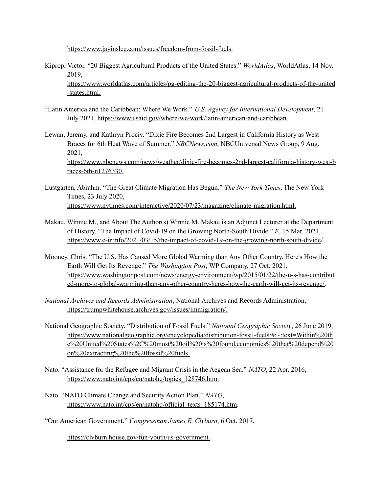https://www.jayinslee.com/issues/freedom-from-fossil-fuels.

Kiprop, Victor. "20 Biggest Agricultural Products of the United States." *WorldAtlas*, WorldAtlas, 14 Nov. 2019,

https://www.worldatlas.com/articles/pg-editing-the-20-biggest-agricultural-products-of-the-united -states.html.

- "Latin America and the Caribbean: Where We Work." *U.S. Agency for International Development*, 21 July 2021, https://www.usaid.gov/where-we-work/latin-american-and-caribbean.
- Lewan, Jeremy, and Kathryn Prociv. "Dixie Fire Becomes 2nd Largest in California History as West Braces for 6th Heat Wave of Summer." *NBCNews.com*, NBCUniversal News Group, 9 Aug. 2021, https://www.nbcnews.com/news/weather/dixie-fire-becomes-2nd-largest-california-history-west-b races-6th-n1276330.
- Lustgarten, Abrahm. "The Great Climate Migration Has Begun." *The New York Times*, The New York Times, 23 July 2020, https://www.nytimes.com/interactive/2020/07/23/magazine/climate-migration.html.
- Makau, Winnie M., and About The Author(s) Winnie M. Makau is an Adjunct Lecturer at the Department of History. "The Impact of Covid-19 on the Growing North-South Divide." *E*, 15 Mar. 2021, https://www.e-ir.info/2021/03/15/the-impact-of-covid-19-on-the-growing-north-south-divide/.
- Mooney, Chris. "The U.S. Has Caused More Global Warming than Any Other Country. Here's How the Earth Will Get Its Revenge." *The Washington Post*, WP Company, 27 Oct. 2021, https://www.washingtonpost.com/news/energy-environment/wp/2015/01/22/the-u-s-has-contribut ed-more-to-global-warming-than-any-other-country-heres-how-the-earth-will-get-its-revenge/.
- *National Archives and Records Administration*, National Archives and Records Administration, https://trumpwhitehouse.archives.gov/issues/immigration/.
- National Geographic Society. "Distribution of Fossil Fuels." *National Geographic Society*, 26 June 2019, https://www.nationalgeographic.org/encyclopedia/distribution-fossil-fuels/#:~:text=Within%20th e%20United%20States%2C%20most%20oil%20is%20found,economies%20that%20depend%20 on%20extracting%20the%20fossil%20fuels.
- Nato. "Assistance for the Refugee and Migrant Crisis in the Aegean Sea." *NATO*, 22 Apr. 2016, https://www.nato.int/cps/en/natohq/topics\_128746.htm.
- Nato. "NATO Climate Change and Security Action Plan." *NATO*, https://www.nato.int/cps/en/natohq/official\_texts\_185174.htm.
- "Our American Government." *Congressman James E. Clyburn*, 6 Oct. 2017,

https://clyburn.house.gov/fun-youth/us-government.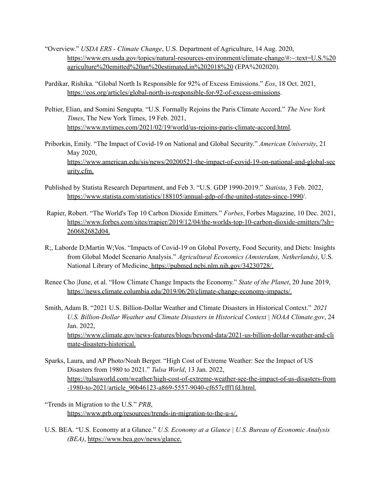- "Overview." *USDA ERS - Climate Change*, U.S. Department of Agriculture, 14 Aug. 2020, https://www.ers.usda.gov/topics/natural-resources-environment/climate-change/#:~:text=U.S.%20 agriculture%20emitted%20an%20estimated,in%202018%20 (EPA%202020).
- Pardikar, Rishika. "Global North Is Responsible for 92% of Excess Emissions." *Eos*, 18 Oct. 2021, https://eos.org/articles/global-north-is-responsible-for-92-of-excess-emissions.
- Peltier, Elian, and Somini Sengupta. "U.S. Formally Rejoins the Paris Climate Accord." *The New York Times*, The New York Times, 19 Feb. 2021, https://www.nytimes.com/2021/02/19/world/us-rejoins-paris-climate-accord.html.
- Priborkin, Emily. "The Impact of Covid-19 on National and Global Security." *American University*, 21 May 2020, https://www.american.edu/sis/news/20200521-the-impact-of-covid-19-on-national-and-global-sec urity.cfm.
- Published by Statista Research Department, and Feb 3. "U.S. GDP 1990-2019." *Statista*, 3 Feb. 2022, https://www.statista.com/statistics/188105/annual-gdp-of-the-united-states-since-1990/.
- Rapier, Robert. "The World's Top 10 Carbon Dioxide Emitters." *Forbes*, Forbes Magazine, 10 Dec. 2021, https://www.forbes.com/sites/rrapier/2019/12/04/the-worlds-top-10-carbon-dioxide-emitters/?sh= 260682682d04.
- R;, Laborde D;Martin W;Vos. "Impacts of Covid-19 on Global Poverty, Food Security, and Diets: Insights from Global Model Scenario Analysis." *Agricultural Economics (Amsterdam, Netherlands)*, U.S. National Library of Medicine, https://pubmed.ncbi.nlm.nih.gov/34230728/.
- Renee Cho |June, et al. "How Climate Change Impacts the Economy." *State of the Planet*, 20 June 2019, https://news.climate.columbia.edu/2019/06/20/climate-change-economy-impacts/.
- Smith, Adam B. "2021 U.S. Billion-Dollar Weather and Climate Disasters in Historical Context." *2021 U.S. Billion-Dollar Weather and Climate Disasters in Historical Context | NOAA Climate.gov*, 24 Jan. 2022, https://www.climate.gov/news-features/blogs/beyond-data/2021-us-billion-dollar-weather-and-cli mate-disasters-historical.
- Sparks, Laura, and AP Photo/Noah Berger. "High Cost of Extreme Weather: See the Impact of US Disasters from 1980 to 2021." *Tulsa World*, 13 Jan. 2022, https://tulsaworld.com/weather/high-cost-of-extreme-weather-see-the-impact-of-us-disasters-from -1980-to-2021/article\_90b46123-a869-5557-9040-cf657cfff1fd.html.
- "Trends in Migration to the U.S." *PRB*, https://www.prb.org/resources/trends-in-migration-to-the-u-s/.
- U.S. BEA. "U.S. Economy at a Glance." *U.S. Economy at a Glance | U.S. Bureau of Economic Analysis (BEA)*, https://www.bea.gov/news/glance.